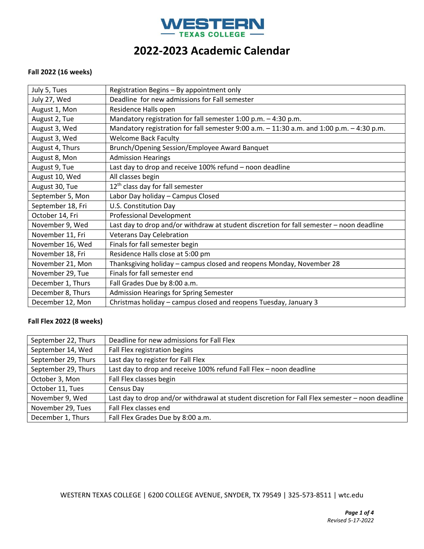

#### **Fall 2022 (16 weeks)**

| July 5, Tues      | Registration Begins - By appointment only                                                 |
|-------------------|-------------------------------------------------------------------------------------------|
| July 27, Wed      | Deadline for new admissions for Fall semester                                             |
| August 1, Mon     | Residence Halls open                                                                      |
| August 2, Tue     | Mandatory registration for fall semester $1:00$ p.m. $-4:30$ p.m.                         |
| August 3, Wed     | Mandatory registration for fall semester 9:00 a.m. - 11:30 a.m. and 1:00 p.m. - 4:30 p.m. |
| August 3, Wed     | <b>Welcome Back Faculty</b>                                                               |
| August 4, Thurs   | Brunch/Opening Session/Employee Award Banquet                                             |
| August 8, Mon     | <b>Admission Hearings</b>                                                                 |
| August 9, Tue     | Last day to drop and receive 100% refund - noon deadline                                  |
| August 10, Wed    | All classes begin                                                                         |
| August 30, Tue    | 12 <sup>th</sup> class day for fall semester                                              |
| September 5, Mon  | Labor Day holiday - Campus Closed                                                         |
| September 18, Fri | U.S. Constitution Day                                                                     |
| October 14, Fri   | Professional Development                                                                  |
| November 9, Wed   | Last day to drop and/or withdraw at student discretion for fall semester - noon deadline  |
| November 11, Fri  | <b>Veterans Day Celebration</b>                                                           |
| November 16, Wed  | Finals for fall semester begin                                                            |
| November 18, Fri  | Residence Halls close at 5:00 pm                                                          |
| November 21, Mon  | Thanksgiving holiday - campus closed and reopens Monday, November 28                      |
| November 29, Tue  | Finals for fall semester end                                                              |
| December 1, Thurs | Fall Grades Due by 8:00 a.m.                                                              |
| December 8, Thurs | Admission Hearings for Spring Semester                                                    |
| December 12, Mon  | Christmas holiday – campus closed and reopens Tuesday, January 3                          |

## **Fall Flex 2022 (8 weeks)**

| September 22, Thurs | Deadline for new admissions for Fall Flex                                                       |
|---------------------|-------------------------------------------------------------------------------------------------|
| September 14, Wed   | Fall Flex registration begins                                                                   |
| September 29, Thurs | Last day to register for Fall Flex                                                              |
| September 29, Thurs | Last day to drop and receive 100% refund Fall Flex - noon deadline                              |
| October 3, Mon      | Fall Flex classes begin                                                                         |
| October 11, Tues    | Census Day                                                                                      |
| November 9, Wed     | Last day to drop and/or withdrawal at student discretion for Fall Flex semester - noon deadline |
| November 29, Tues   | Fall Flex classes end                                                                           |
| December 1, Thurs   | Fall Flex Grades Due by 8:00 a.m.                                                               |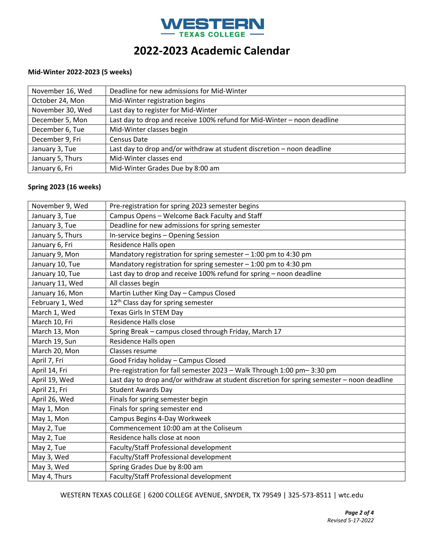

### **Mid-Winter 2022-2023 (5 weeks)**

| November 16, Wed | Deadline for new admissions for Mid-Winter                              |
|------------------|-------------------------------------------------------------------------|
| October 24, Mon  | Mid-Winter registration begins                                          |
| November 30, Wed | Last day to register for Mid-Winter                                     |
| December 5, Mon  | Last day to drop and receive 100% refund for Mid-Winter - noon deadline |
| December 6, Tue  | Mid-Winter classes begin                                                |
| December 9, Fri  | Census Date                                                             |
| January 3, Tue   | Last day to drop and/or withdraw at student discretion - noon deadline  |
| January 5, Thurs | Mid-Winter classes end                                                  |
| January 6, Fri   | Mid-Winter Grades Due by 8:00 am                                        |

### **Spring 2023 (16 weeks)**

| November 9, Wed  | Pre-registration for spring 2023 semester begins                                           |
|------------------|--------------------------------------------------------------------------------------------|
| January 3, Tue   | Campus Opens - Welcome Back Faculty and Staff                                              |
| January 3, Tue   | Deadline for new admissions for spring semester                                            |
| January 5, Thurs | In-service begins - Opening Session                                                        |
| January 6, Fri   | Residence Halls open                                                                       |
| January 9, Mon   | Mandatory registration for spring semester - 1:00 pm to 4:30 pm                            |
| January 10, Tue  | Mandatory registration for spring semester $-1:00$ pm to 4:30 pm                           |
| January 10, Tue  | Last day to drop and receive 100% refund for spring - noon deadline                        |
| January 11, Wed  | All classes begin                                                                          |
| January 16, Mon  | Martin Luther King Day - Campus Closed                                                     |
| February 1, Wed  | 12 <sup>th</sup> Class day for spring semester                                             |
| March 1, Wed     | Texas Girls In STEM Day                                                                    |
| March 10, Fri    | Residence Halls close                                                                      |
| March 13, Mon    | Spring Break - campus closed through Friday, March 17                                      |
| March 19, Sun    | Residence Halls open                                                                       |
| March 20, Mon    | Classes resume                                                                             |
| April 7, Fri     | Good Friday holiday - Campus Closed                                                        |
| April 14, Fri    | Pre-registration for fall semester 2023 - Walk Through 1:00 pm-3:30 pm                     |
| April 19, Wed    | Last day to drop and/or withdraw at student discretion for spring semester - noon deadline |
| April 21, Fri    | <b>Student Awards Day</b>                                                                  |
| April 26, Wed    | Finals for spring semester begin                                                           |
| May 1, Mon       | Finals for spring semester end                                                             |
| May 1, Mon       | Campus Begins 4-Day Workweek                                                               |
| May 2, Tue       | Commencement 10:00 am at the Coliseum                                                      |
| May 2, Tue       | Residence halls close at noon                                                              |
| May 2, Tue       | Faculty/Staff Professional development                                                     |
| May 3, Wed       | Faculty/Staff Professional development                                                     |
| May 3, Wed       | Spring Grades Due by 8:00 am                                                               |
| May 4, Thurs     | Faculty/Staff Professional development                                                     |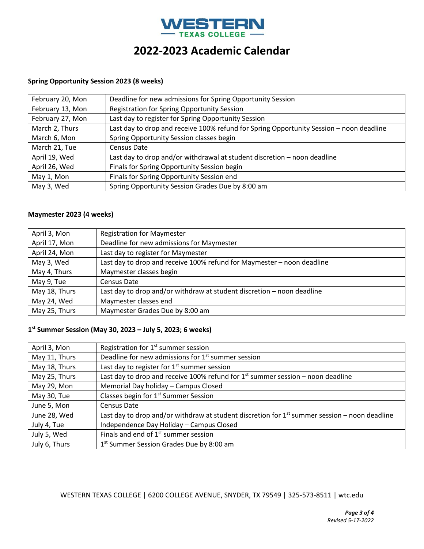

## **Spring Opportunity Session 2023 (8 weeks)**

| February 20, Mon | Deadline for new admissions for Spring Opportunity Session                              |
|------------------|-----------------------------------------------------------------------------------------|
| February 13, Mon | Registration for Spring Opportunity Session                                             |
| February 27, Mon | Last day to register for Spring Opportunity Session                                     |
| March 2, Thurs   | Last day to drop and receive 100% refund for Spring Opportunity Session - noon deadline |
| March 6, Mon     | Spring Opportunity Session classes begin                                                |
| March 21, Tue    | Census Date                                                                             |
| April 19, Wed    | Last day to drop and/or withdrawal at student discretion - noon deadline                |
| April 26, Wed    | Finals for Spring Opportunity Session begin                                             |
| May 1, Mon       | Finals for Spring Opportunity Session end                                               |
| May 3, Wed       | Spring Opportunity Session Grades Due by 8:00 am                                        |

# **Maymester 2023 (4 weeks)**

| April 3, Mon  | <b>Registration for Maymester</b>                                      |
|---------------|------------------------------------------------------------------------|
| April 17, Mon | Deadline for new admissions for Maymester                              |
| April 24, Mon | Last day to register for Maymester                                     |
| May 3, Wed    | Last day to drop and receive 100% refund for Maymester - noon deadline |
| May 4, Thurs  | Maymester classes begin                                                |
| May 9, Tue    | Census Date                                                            |
| May 18, Thurs | Last day to drop and/or withdraw at student discretion - noon deadline |
| May 24, Wed   | Maymester classes end                                                  |
| May 25, Thurs | Maymester Grades Due by 8:00 am                                        |

### **1 st Summer Session (May 30, 2023 – July 5, 2023; 6 weeks)**

| April 3, Mon  | Registration for $1st$ summer session                                                           |
|---------------|-------------------------------------------------------------------------------------------------|
| May 11, Thurs | Deadline for new admissions for 1 <sup>st</sup> summer session                                  |
| May 18, Thurs | Last day to register for $1st$ summer session                                                   |
| May 25, Thurs | Last day to drop and receive 100% refund for $1st$ summer session – noon deadline               |
| May 29, Mon   | Memorial Day holiday - Campus Closed                                                            |
| May 30, Tue   | Classes begin for 1 <sup>st</sup> Summer Session                                                |
| June 5, Mon   | Census Date                                                                                     |
| June 28, Wed  | Last day to drop and/or withdraw at student discretion for $1st$ summer session – noon deadline |
| July 4, Tue   | Independence Day Holiday - Campus Closed                                                        |
| July 5, Wed   | Finals and end of $1st$ summer session                                                          |
| July 6, Thurs | 1 <sup>st</sup> Summer Session Grades Due by 8:00 am                                            |